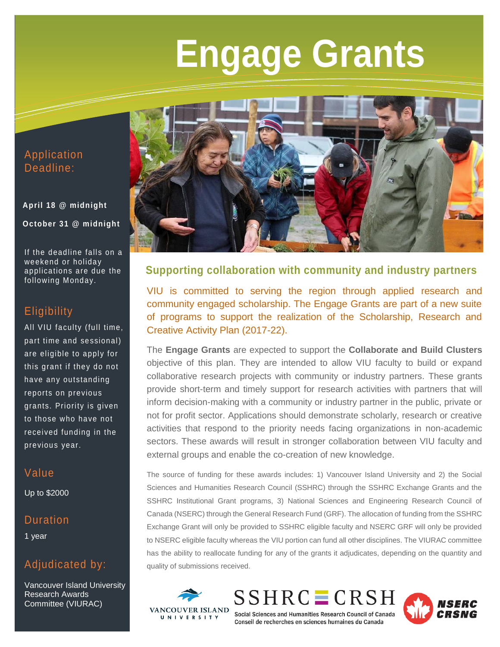# **Engage Grants**

#### Application Deadline:

## **April 18 @ midnight October 31 @ midnight**

If the deadline falls on a weekend or holiday applications are due the following Monday.

### **Eligibility**

All VIU faculty (full time, part time and sessional) are eligible to apply for this grant if they do not have any outstanding reports on previous grants. Priority is given to those who have not received funding in the previous year.

## Value

Up to \$2000

#### Duration

1 year

## Adjudicated by:

Vancouver Island University Research Awards Committee (VIURAC)



#### **Supporting collaboration with community and industry partners**

VIU is committed to serving the region through applied research and community engaged scholarship. The Engage Grants are part of a new suite of programs to support the realization of the Scholarship, Research and Creative Activity Plan (2017-22).

The **Engage Grants** are expected to support the **Collaborate and Build Clusters** objective of this plan. They are intended to allow VIU faculty to build or expand collaborative research projects with community or industry partners. These grants provide short-term and timely support for research activities with partners that will inform decision-making with a community or industry partner in the public, private or not for profit sector. Applications should demonstrate scholarly, research or creative activities that respond to the priority needs facing organizations in non-academic sectors. These awards will result in stronger collaboration between VIU faculty and external groups and enable the co-creation of new knowledge.

The source of funding for these awards includes: 1) Vancouver Island University and 2) the Social Sciences and Humanities Research Council (SSHRC) through the SSHRC Exchange Grants and the SSHRC Institutional Grant programs, 3) National Sciences and Engineering Research Council of Canada (NSERC) through the General Research Fund (GRF). The allocation of funding from the SSHRC Exchange Grant will only be provided to SSHRC eligible faculty and NSERC GRF will only be provided to NSERC eligible faculty whereas the VIU portion can fund all other disciplines. The VIURAC committee has the ability to reallocate funding for any of the grants it adjudicates, depending on the quantity and quality of submissions received.



 $SSHRC = CRSH$ Social Sciences and Humanities Research Council of Canada Conseil de recherches en sciences humaines du Canada